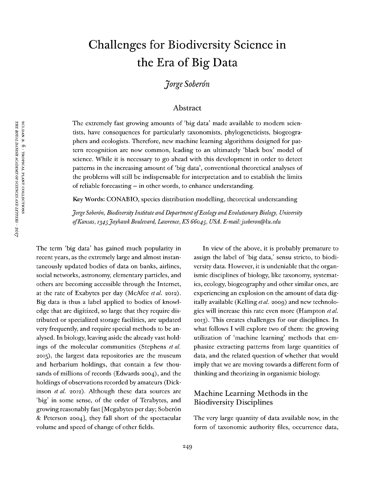# Challenges for Biodiversity Science in the Era of Big Data

*Jorge Soberon*

### Abstract

The extremely fast growing amounts of 'big data' made available to modern scientists, have consequences for particularly taxonomists, phylogeneticists, biogeographers and ecologists. Therefore, new machine learning algorithms designed for pattern recognition are now common, leading to an ultimately 'black box' model of science. While it is necessary to go ahead with this development in order to detect patterns in the increasing amount of 'big data', conventional theoretical analyses of the problems will still be indispensable for interpretation and to establish the limits of reliable forecasting – in other words, to enhance understanding.

KeyWords: CONABIO, species distribution modelling, theoretical understanding

*Jorge Soberon, Biodiversity Institute and Department ofEcology andEvolutionary Biology, University ofKansas, 1345Jayhawk Boulevard, Lawrence, KS 66045, USA. E-mail:jsoberon@ku.edu*

The term 'big data' has gained much popularity in recent years, as the extremely large and almost instantaneously updated bodies of data on banks, airlines, social networks, astronomy, elementary particles, and others are becoming accessible through the Internet, at the rate of Exabytes per day (McAfee *et al.* 2012). Big data is thus a label applied to bodies of knowledge that are digitized, so large that they require distributed or specialized storage facilities, are updated very frequently, and require special methods to be analysed. In biology, leaving aside the already vast holdings of the molecular communities (Stephens *et al.* 2015), the largest data repositories are the museum and herbarium holdings, that contain a few thousands of millions of records (Edwards 2004), and the holdings of observations recorded by amateurs (Dickinson *et al.* 2012). Although these data sources are 'big' in some sense, of the order of Terabytes, and growing reasonably fast [Megabytes per day; Soberón & Peterson 2004], they fall short of the spectacular volume and speed of change of other fields.

In view of the above, it is probably premature to assign the label of 'big data,' sensu stricto, to biodiversity data. However, it is undeniable that the organismic disciplines of biology, like taxonomy, systematics, ecology, biogeography and other similar ones, are experiencing an explosion on the amount of data digitally available (Kelling *et al.* 2009) and new technologies will increase this rate even more (Hampton *et al.* 2013). This creates challenges for our disciplines. In what follows I will explore two of them: the growing utilization of 'machine learning' methods that emphasize extracting patterns from large quantities of data, and the related question of whether that would imply that we are moving towards a different form of thinking and theorizing in organismic biology.

# Machine Learning Methods in the Biodiversity Disciplines

The very large quantity of data available now, in the form of taxonomic authority files, occurrence data,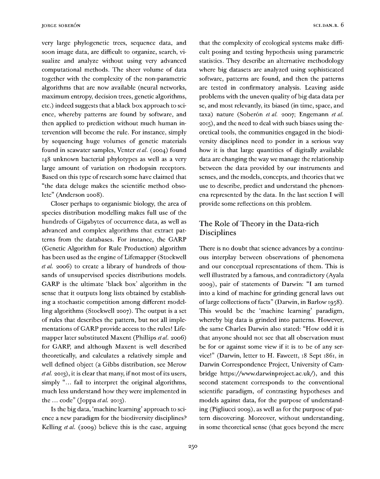very large phylogenetic trees, sequence data, and soon image data, are difficult to organize, search, visualize and analyze without using very advanced computational methods. The sheer volume of data together with the complexity of the non-parametric algorithms that are now available (neural networks, maximum entropy, decision trees, genetic algorithms, etc.) indeed suggests that a black box approach to science, whereby patterns are found by software, and then applied to prediction without much human intervention will become the rule. For instance, simply by sequencing huge volumes of genetic materials found in seawater samples, Venter *et al.* (2004) found 148 unknown bacterial phylotypes as well as a very large amount of variation on rhodopsin receptors. Based on this type of research some have claimed that "the data deluge makes the scientific method obsolete" (Anderson 2008).

Closer perhaps to organismic biology, the area of species distribution modelling makes full use of the hundreds of Gigabytes of occurrence data, as well as advanced and complex algorithms that extract patterns from the databases. For instance, the GARP (Genetic Algorithm for Rule Production) algorithm has been used as the engine of Lifemapper (Stockwell *et al.* 2006) to create a library of hundreds of thousands of unsupervised species distributions models. GARP is the ultimate 'black box' algorithm in the sense that it outputs long lists obtained by establishing a stochastic competition among different modelling algorithms (Stockwell 2007). The output is a set of rules that describes the pattern, but not all implementations ofGARP provide access to the rules! Lifemapper later substituted Maxent (Phillips *et al.* 2006) for GARP, and although Maxent is well described theoretically, and calculates a relatively simple and well defined object (a Gibbs distribution, see Merow *et al.* 2013), it is clear that many, if not most of its users, simply "... fail to interpret the original algorithms, much less understand how they were implemented in the ... code" (Joppa *etal.* 2013).

Is the big data, 'machine learning' approach to science a new paradigm for the biodiversity disciplines? Kelling *et al.* (2009) believe this is the case, arguing that the complexity of ecological systems make difficult posing and testing hypothesis using parametric statistics. They describe an alternative methodology where big datasets are analyzed using sophisticated software, patterns are found, and then the patterns are tested in confirmatory analysis. Leaving aside problems with the uneven quality of big data data per se, and most relevantly, its biased (in time, space, and taxa) nature (Soberôn *et al.* 2007; Engemann *et al.* 2015), and the need to deal with such biases using theoretical tools, the communities engaged in the biodiversity disciplines need to ponder in a serious way how it is that large quantities of digitally available data are changing the way we manage the relationship between the data provided by our instruments and senses, and the models, concepts, and theories that we use to describe, predict and understand the phenomena represented by the data. In the last section I will provide some reflections on this problem.

# The Role of Theory in the Data-rich Disciplines

There is no doubt that science advances by a continuous interplay between observations of phenomena and our conceptual representations of them. This is well illustrated by a famous, and contradictory (Ayala 2009), pair of statements of Darwin: "I am turned into a kind of machine for grinding general laws out oflarge collections offacts" (Darwin, in Barlow 1958). This would be the 'machine learning' paradigm, whereby big data is grinded into patterns. However, the same Charles Darwin also stated: "How odd it is that anyone should not see that all observation must be for or against some view if it is to be of any service!" (Darwin, letter to H. Fawcett, 18 Sept 1861, in Darwin Correspondence Project, University of Cambridge https://www.darwinproject.ac.uk/), and this second statement corresponds to the conventional scientific paradigm, of contrasting hypotheses and models against data, for the purpose of understanding (Pigliucci 2009), as well as for the purpose of pattern discovering. Moreover, without understanding, in some theoretical sense (that goes beyond the mere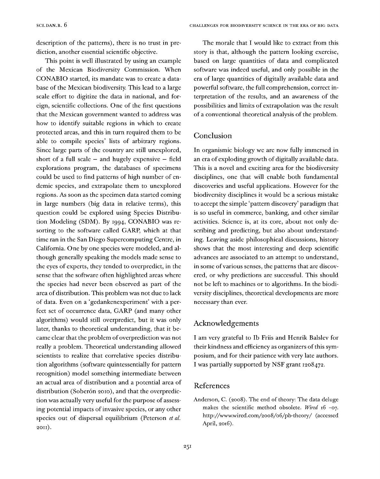description of the patterns), there is no trust in prediction, another essential scientific objective.

This point is well illustrated by using an example of the Mexican Biodiversity Commission. When CONABIO started, its mandate was to create a database of the Mexican biodiversity. This lead to a large scale effort to digitize the data in national, and foreign, scientific collections. One of the first questions that the Mexican government wanted to address was how to identify suitable regions in which to create protected areas, and this in turn required them to be able to compile species' lists of arbitrary regions. Since large parts of the country are still unexplored, short of a full scale — and hugely expensive — field explorations program, the databases of specimens could be used to find patterns of high number of endemic species, and extrapolate them to unexplored regions. As soon as the specimen data started coming in large numbers (big data in relative terms), this question could be explored using Species Distribution Modeling (SDM). By 1994, CONABIO was resorting to the software called GARP, which at that time ran in the San Diego Supercomputing Centre, in California. One by one species were modeled, and although generally speaking the models made sense to the eyes of experts, they tended to overpredict, in the sense that the software often highlighted areas where the species had never been observed as part of the area of distribution. This problem was not due to lack of data. Even on a 'gedankenexperiment' with a perfect set of occurrence data, GARP (and many other algorithms) would still overpredict, but it was only later, thanks to theoretical understanding, that it became clear that the problem of overprediction was not really a problem. Theoretical understanding allowed scientists to realize that correlative species distribution algorithms (software quintessentially for pattern recognition) model something intermediate between an actual area of distribution and a potential area of distribution (Soberôn 2010), and that the overprediction was actually very useful for the purpose of assessing potential impacts of invasive species, or any other species out of dispersal equilibrium (Peterson *et al.* 2011).

The morale that I would like to extract from this story is that, although the pattern looking exercise, based on large quantities of data and complicated software was indeed useful, and only possible in the era of large quantities of digitally available data and powerful software, the full comprehension, correct interpretation of the results, and an awareness of the possibilities and limits of extrapolation was the result of a conventional theoretical analysis of the problem.

#### Conclusion

In organismic biology we are now fully immersed in an era of exploding growth of digitally available data. This is a novel and exciting area for the biodiversity disciplines, one that will enable both fundamental discoveries and useful applications. However for the biodiversity disciplines it would be a serious mistake to accept the simple 'pattern discovery' paradigm that is so useful in commerce, banking, and other similar activities. Science is, at its core, about not only describing and predicting, but also about understanding. Leaving aside philosophical discussions, history shows that the most interesting and deep scientific advances are associated to an attempt to understand, in some ofvarious senses, the patterns that are discovered, or why predictions are successful. This should not be left to machines or to algorithms. In the biodiversity disciplines, theoretical developments are more necessary than ever.

## Acknowledgements

I am very grateful to lb Friis and Henrik Balslev for their kindness and efficiency as organizers of this symposium, and for their patience with very late authors. I was partially supported by NSF grant 1208472.

### References

Anderson, C. (2008). The end of theory: The data deluge makes the scientific method obsolete. *Wired* 16 -07. http://www.wired.com/2oo8/o6/pb-theory/ (accessed April, 2016).